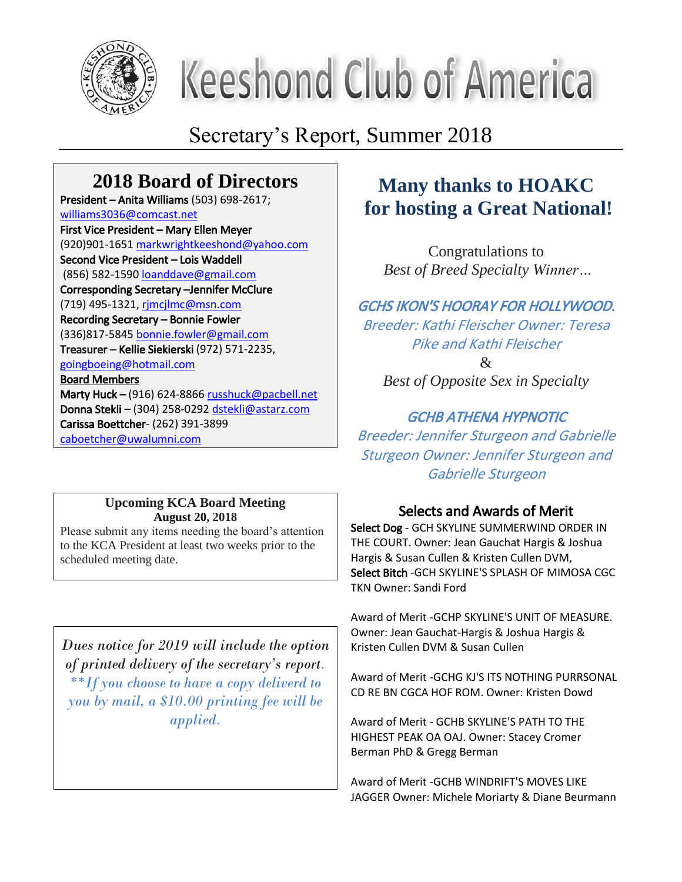

# **Keeshond Club of America**

# Secretary's Report, Summer 2018

# **2018 Board of Directors**

President – Anita Williams (503) 698-2617; williams3036@comcast.net First Vice President – Mary Ellen Meyer (920)901-1651 markwrightkeeshond@yahoo.com Second Vice President – Lois Waddell (856) 582-1590 loanddave@gmail.com Corresponding Secretary –Jennifer McClure (719) 495-1321, rjmcjlmc@msn.com Recording Secretary – Bonnie Fowler (336)817-5845 bonnie.fowler@gmail.com Treasurer – Kellie Siekierski (972) 571-2235, goingboeing@hotmail.com Board Members Marty Huck – (916) 624-8866 russhuck@pacbell.net Donna Stekli – (304) 258-0292 dstekli@astarz.com Carissa Boettcher- (262) 391-3899

caboetcher@uwalumni.com

#### **Upcoming KCA Board Meeting August 20, 2018**

Please submit any items needing the board's attention to the KCA President at least two weeks prior to the scheduled meeting date.

*Dues notice for 2019 will include the option of printed delivery of the secretary's report. \*\*If you choose to have a copy deliverd to you by mail, a \$10.00 printing fee will be applied.*

## **Many thanks to HOAKC for hosting a Great National!**

Congratulations to *Best of Breed Specialty Winner…*

## GCHS IKON'S HOORAY FOR HOLLYWOOD. Breeder: Kathi Fleischer Owner: Teresa Pike and Kathi Fleischer  $\mathcal{R}$ *Best of Opposite Sex in Specialty*

## GCHB ATHENA HYPNOTIC

Breeder: Jennifer Sturgeon and Gabrielle Sturgeon Owner: Jennifer Sturgeon and Gabrielle Sturgeon

## Selects and Awards of Merit

Select Dog - GCH SKYLINE SUMMERWIND ORDER IN THE COURT. Owner: Jean Gauchat Hargis & Joshua Hargis & Susan Cullen & Kristen Cullen DVM, Select Bitch -GCH SKYLINE'S SPLASH OF MIMOSA CGC TKN Owner: Sandi Ford

Award of Merit -GCHP SKYLINE'S UNIT OF MEASURE. Owner: Jean Gauchat-Hargis & Joshua Hargis & Kristen Cullen DVM & Susan Cullen

Award of Merit -GCHG KJ'S ITS NOTHING PURRSONAL CD RE BN CGCA HOF ROM. Owner: Kristen Dowd

Award of Merit - GCHB SKYLINE'S PATH TO THE HIGHEST PEAK OA OAJ. Owner: Stacey Cromer Berman PhD & Gregg Berman

Award of Merit -GCHB WINDRIFT'S MOVES LIKE JAGGER Owner: Michele Moriarty & Diane Beurmann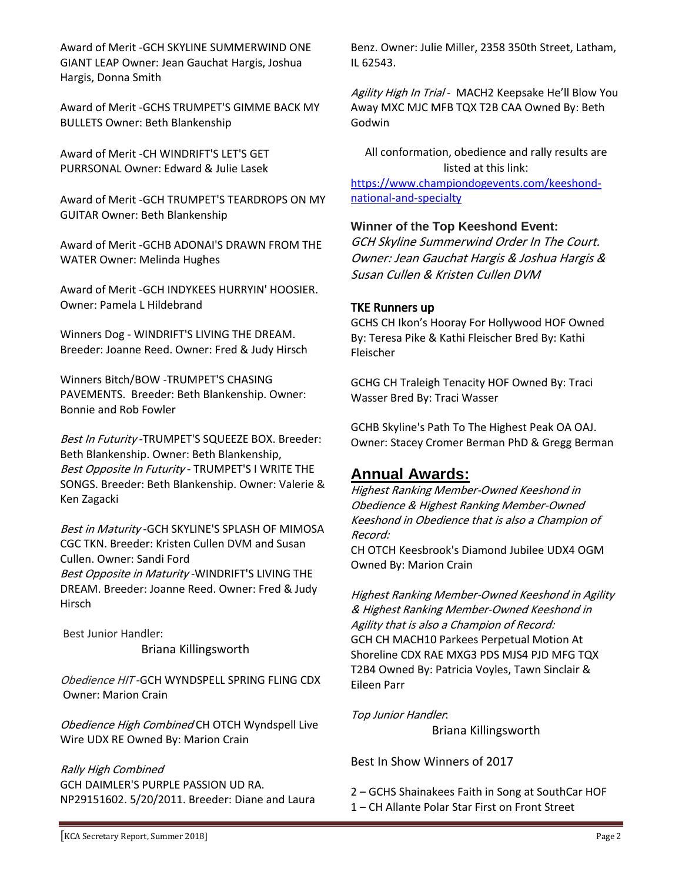Award of Merit -GCH SKYLINE SUMMERWIND ONE GIANT LEAP Owner: Jean Gauchat Hargis, Joshua Hargis, Donna Smith

Award of Merit -GCHS TRUMPET'S GIMME BACK MY BULLETS Owner: Beth Blankenship

Award of Merit -CH WINDRIFT'S LET'S GET PURRSONAL Owner: Edward & Julie Lasek

Award of Merit -GCH TRUMPET'S TEARDROPS ON MY GUITAR Owner: Beth Blankenship

Award of Merit -GCHB ADONAI'S DRAWN FROM THE WATER Owner: Melinda Hughes

Award of Merit -GCH INDYKEES HURRYIN' HOOSIER. Owner: Pamela L Hildebrand

Winners Dog - WINDRIFT'S LIVING THE DREAM. Breeder: Joanne Reed. Owner: Fred & Judy Hirsch

Winners Bitch/BOW -TRUMPET'S CHASING PAVEMENTS. Breeder: Beth Blankenship. Owner: Bonnie and Rob Fowler

Best In Futurity -TRUMPET'S SQUEEZE BOX. Breeder: Beth Blankenship. Owner: Beth Blankenship, Best Opposite In Futurity - TRUMPET'S I WRITE THE SONGS. Breeder: Beth Blankenship. Owner: Valerie & Ken Zagacki

Best in Maturity - GCH SKYLINE'S SPLASH OF MIMOSA CGC TKN. Breeder: Kristen Cullen DVM and Susan Cullen. Owner: Sandi Ford Best Opposite in Maturity - WINDRIFT'S LIVING THE DREAM. Breeder: Joanne Reed. Owner: Fred & Judy Hirsch

Best Junior Handler:

Briana Killingsworth

Obedience HIT -GCH WYNDSPELL SPRING FLING CDX Owner: Marion Crain

Obedience High Combined CH OTCH Wyndspell Live Wire UDX RE Owned By: Marion Crain

Rally High Combined GCH DAIMLER'S PURPLE PASSION UD RA. NP29151602. 5/20/2011. Breeder: Diane and Laura

Benz. Owner: Julie Miller, 2358 350th Street, Latham, IL 62543.

Agility High In Trial - MACH2 Keepsake He'll Blow You Away MXC MJC MFB TQX T2B CAA Owned By: Beth Godwin

All conformation, obedience and rally results are listed at this link: https://www.championdogevents.com/keeshondnational-and-specialty

#### **Winner of the Top Keeshond Event:**

GCH Skyline Summerwind Order In The Court. Owner: Jean Gauchat Hargis & Joshua Hargis & Susan Cullen & Kristen Cullen DVM

#### TKE Runners up

GCHS CH Ikon's Hooray For Hollywood HOF Owned By: Teresa Pike & Kathi Fleischer Bred By: Kathi Fleischer

GCHG CH Traleigh Tenacity HOF Owned By: Traci Wasser Bred By: Traci Wasser

GCHB Skyline's Path To The Highest Peak OA OAJ. Owner: Stacey Cromer Berman PhD & Gregg Berman

## **Annual Awards:**

Highest Ranking Member-Owned Keeshond in Obedience & Highest Ranking Member-Owned Keeshond in Obedience that is also a Champion of Record:

CH OTCH Keesbrook's Diamond Jubilee UDX4 OGM Owned By: Marion Crain

Highest Ranking Member-Owned Keeshond in Agility & Highest Ranking Member-Owned Keeshond in Agility that is also a Champion of Record: GCH CH MACH10 Parkees Perpetual Motion At Shoreline CDX RAE MXG3 PDS MJS4 PJD MFG TQX T2B4 Owned By: Patricia Voyles, Tawn Sinclair & Eileen Parr

Top Junior Handler:

Briana Killingsworth

Best In Show Winners of 2017

- 2 GCHS Shainakees Faith in Song at SouthCar HOF
- 1 CH Allante Polar Star First on Front Street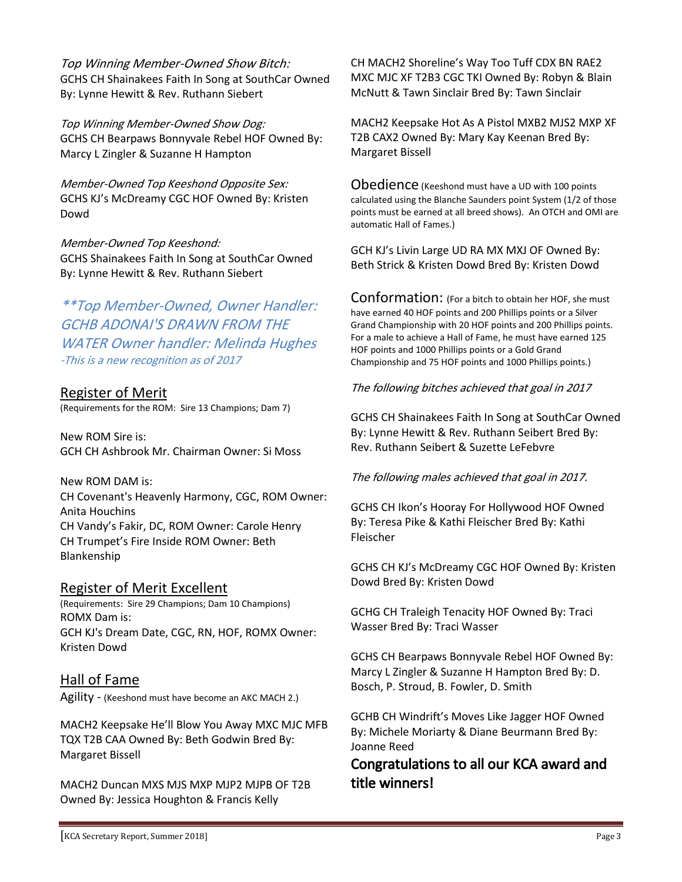Top Winning Member-Owned Show Bitch: GCHS CH Shainakees Faith In Song at SouthCar Owned By: Lynne Hewitt & Rev. Ruthann Siebert

Top Winning Member-Owned Show Dog: GCHS CH Bearpaws Bonnyvale Rebel HOF Owned By: Marcy L Zingler & Suzanne H Hampton

Member-Owned Top Keeshond Opposite Sex: GCHS KJ's McDreamy CGC HOF Owned By: Kristen Dowd

Member-Owned Top Keeshond: GCHS Shainakees Faith In Song at SouthCar Owned By: Lynne Hewitt & Rev. Ruthann Siebert

\*\*Top Member-Owned, Owner Handler: GCHB ADONAI'S DRAWN FROM THE WATER Owner handler: Melinda Hughes -This is a new recognition as of 2017

## Register of Merit

(Requirements for the ROM: Sire 13 Champions; Dam 7)

New ROM Sire is: GCH CH Ashbrook Mr. Chairman Owner: Si Moss

New ROM DAM is: CH Covenant's Heavenly Harmony, CGC, ROM Owner: Anita Houchins CH Vandy's Fakir, DC, ROM Owner: Carole Henry CH Trumpet's Fire Inside ROM Owner: Beth Blankenship

#### Register of Merit Excellent

(Requirements: Sire 29 Champions; Dam 10 Champions) ROMX Dam is: GCH KJ's Dream Date, CGC, RN, HOF, ROMX Owner: Kristen Dowd

## Hall of Fame

Agility - (Keeshond must have become an AKC MACH 2.)

MACH2 Keepsake He'll Blow You Away MXC MJC MFB TQX T2B CAA Owned By: Beth Godwin Bred By: Margaret Bissell

MACH2 Duncan MXS MJS MXP MJP2 MJPB OF T2B Owned By: Jessica Houghton & Francis Kelly

CH MACH2 Shoreline's Way Too Tuff CDX BN RAE2 MXC MJC XF T2B3 CGC TKI Owned By: Robyn & Blain McNutt & Tawn Sinclair Bred By: Tawn Sinclair

MACH2 Keepsake Hot As A Pistol MXB2 MJS2 MXP XF T2B CAX2 Owned By: Mary Kay Keenan Bred By: Margaret Bissell

Obedience (Keeshond must have a UD with 100 points calculated using the Blanche Saunders point System (1/2 of those points must be earned at all breed shows). An OTCH and OMI are automatic Hall of Fames.)

GCH KJ's Livin Large UD RA MX MXJ OF Owned By: Beth Strick & Kristen Dowd Bred By: Kristen Dowd

Conformation: (For a bitch to obtain her HOF, she must have earned 40 HOF points and 200 Phillips points or a Silver Grand Championship with 20 HOF points and 200 Phillips points. For a male to achieve a Hall of Fame, he must have earned 125 HOF points and 1000 Phillips points or a Gold Grand Championship and 75 HOF points and 1000 Phillips points.)

#### The following bitches achieved that goal in 2017

GCHS CH Shainakees Faith In Song at SouthCar Owned By: Lynne Hewitt & Rev. Ruthann Seibert Bred By: Rev. Ruthann Seibert & Suzette LeFebvre

The following males achieved that goal in 2017.

GCHS CH Ikon's Hooray For Hollywood HOF Owned By: Teresa Pike & Kathi Fleischer Bred By: Kathi Fleischer

GCHS CH KJ's McDreamy CGC HOF Owned By: Kristen Dowd Bred By: Kristen Dowd

GCHG CH Traleigh Tenacity HOF Owned By: Traci Wasser Bred By: Traci Wasser

GCHS CH Bearpaws Bonnyvale Rebel HOF Owned By: Marcy L Zingler & Suzanne H Hampton Bred By: D. Bosch, P. Stroud, B. Fowler, D. Smith

GCHB CH Windrift's Moves Like Jagger HOF Owned By: Michele Moriarty & Diane Beurmann Bred By: Joanne Reed

## Congratulations to all our KCA award and title winners!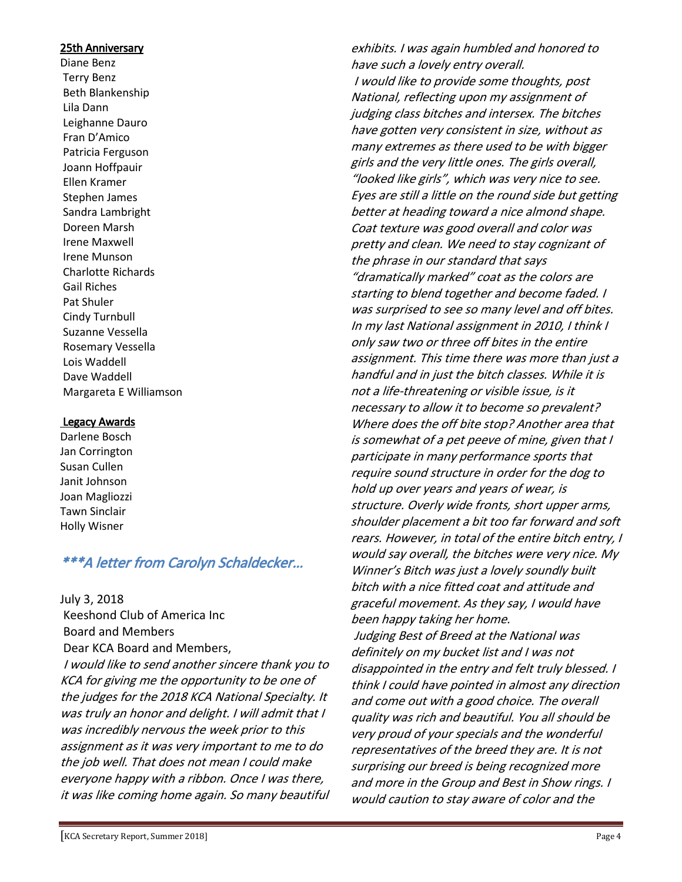#### 25th Anniversary

Diane Benz Terry Benz Beth Blankenship Lila Dann Leighanne Dauro Fran D'Amico Patricia Ferguson Joann Hoffpauir Ellen Kramer Stephen James Sandra Lambright Doreen Marsh Irene Maxwell Irene Munson Charlotte Richards Gail Riches Pat Shuler Cindy Turnbull Suzanne Vessella Rosemary Vessella Lois Waddell Dave Waddell Margareta E Williamson

#### Legacy Awards

Darlene Bosch Jan Corrington Susan Cullen Janit Johnson Joan Magliozzi Tawn Sinclair Holly Wisner

## \*\*\*A letter from Carolyn Schaldecker…

July 3, 2018

Keeshond Club of America Inc Board and Members Dear KCA Board and Members, I would like to send another sincere thank you to KCA for giving me the opportunity to be one of the judges for the 2018 KCA National Specialty. It was truly an honor and delight. I will admit that I was incredibly nervous the week prior to this assignment as it was very important to me to do the job well. That does not mean I could make everyone happy with a ribbon. Once I was there, it was like coming home again. So many beautiful

exhibits. I was again humbled and honored to have such a lovely entry overall. I would like to provide some thoughts, post National, reflecting upon my assignment of judging class bitches and intersex. The bitches have gotten very consistent in size, without as many extremes as there used to be with bigger girls and the very little ones. The girls overall, "looked like girls", which was very nice to see. Eyes are still a little on the round side but getting better at heading toward a nice almond shape. Coat texture was good overall and color was pretty and clean. We need to stay cognizant of the phrase in our standard that says "dramatically marked" coat as the colors are starting to blend together and become faded. I was surprised to see so many level and off bites. In my last National assignment in 2010, I think I only saw two or three off bites in the entire assignment. This time there was more than just a handful and in just the bitch classes. While it is not a life-threatening or visible issue, is it necessary to allow it to become so prevalent? Where does the off bite stop? Another area that is somewhat of a pet peeve of mine, given that I participate in many performance sports that require sound structure in order for the dog to hold up over years and years of wear, is structure. Overly wide fronts, short upper arms, shoulder placement a bit too far forward and soft rears. However, in total of the entire bitch entry, I would say overall, the bitches were very nice. My Winner's Bitch was just a lovely soundly built bitch with a nice fitted coat and attitude and graceful movement. As they say, I would have been happy taking her home. Judging Best of Breed at the National was definitely on my bucket list and I was not disappointed in the entry and felt truly blessed. I think I could have pointed in almost any direction and come out with a good choice. The overall quality was rich and beautiful. You all should be very proud of your specials and the wonderful representatives of the breed they are. It is not surprising our breed is being recognized more and more in the Group and Best in Show rings. I would caution to stay aware of color and the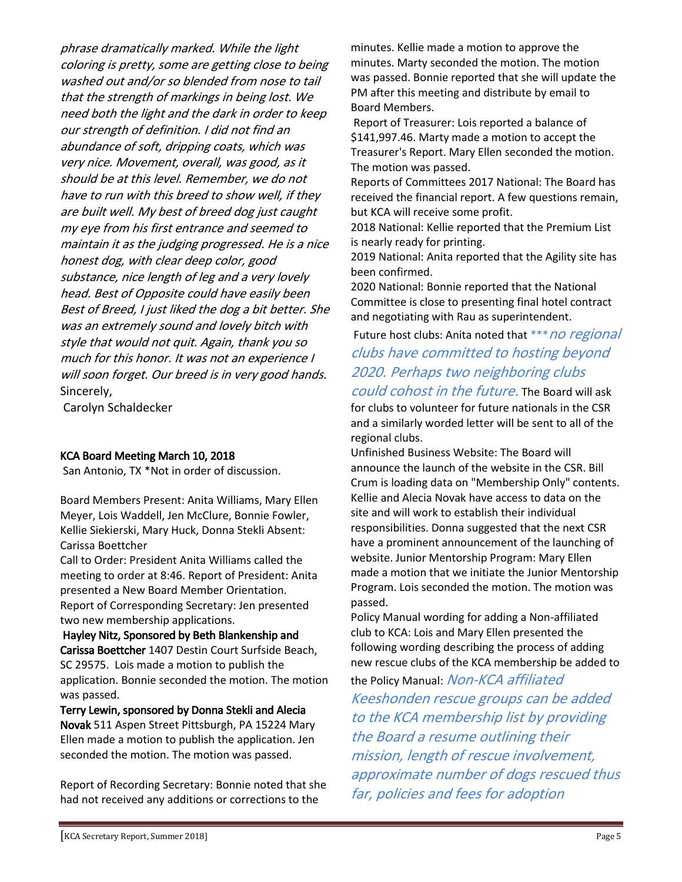phrase dramatically marked. While the light coloring is pretty, some are getting close to being washed out and/or so blended from nose to tail that the strength of markings in being lost. We need both the light and the dark in order to keep our strength of definition. I did not find an abundance of soft, dripping coats, which was very nice. Movement, overall, was good, as it should be at this level. Remember, we do not have to run with this breed to show well, if they are built well. My best of breed dog just caught my eye from his first entrance and seemed to maintain it as the judging progressed. He is a nice honest dog, with clear deep color, good substance, nice length of leg and a very lovely head. Best of Opposite could have easily been Best of Breed, I just liked the dog a bit better. She was an extremely sound and lovely bitch with style that would not quit. Again, thank you so much for this honor. It was not an experience I will soon forget. Our breed is in very good hands. Sincerely,

Carolyn Schaldecker

#### KCA Board Meeting March 10, 2018

San Antonio, TX \*Not in order of discussion.

Board Members Present: Anita Williams, Mary Ellen Meyer, Lois Waddell, Jen McClure, Bonnie Fowler, Kellie Siekierski, Mary Huck, Donna Stekli Absent: Carissa Boettcher

Call to Order: President Anita Williams called the meeting to order at 8:46. Report of President: Anita presented a New Board Member Orientation. Report of Corresponding Secretary: Jen presented two new membership applications.

Hayley Nitz, Sponsored by Beth Blankenship and Carissa Boettcher 1407 Destin Court Surfside Beach, SC 29575. Lois made a motion to publish the application. Bonnie seconded the motion. The motion was passed.

Terry Lewin, sponsored by Donna Stekli and Alecia Novak 511 Aspen Street Pittsburgh, PA 15224 Mary Ellen made a motion to publish the application. Jen seconded the motion. The motion was passed.

Report of Recording Secretary: Bonnie noted that she had not received any additions or corrections to the

minutes. Kellie made a motion to approve the minutes. Marty seconded the motion. The motion was passed. Bonnie reported that she will update the PM after this meeting and distribute by email to Board Members.

Report of Treasurer: Lois reported a balance of \$141,997.46. Marty made a motion to accept the Treasurer's Report. Mary Ellen seconded the motion. The motion was passed.

Reports of Committees 2017 National: The Board has received the financial report. A few questions remain, but KCA will receive some profit.

2018 National: Kellie reported that the Premium List is nearly ready for printing.

2019 National: Anita reported that the Agility site has been confirmed.

2020 National: Bonnie reported that the National Committee is close to presenting final hotel contract and negotiating with Rau as superintendent.

Future host clubs: Anita noted that \*\*\* no regional

clubs have committed to hosting beyond 2020. Perhaps two neighboring clubs could cohost in the future. The Board will ask for clubs to volunteer for future nationals in the CSR and a similarly worded letter will be sent to all of the regional clubs.

Unfinished Business Website: The Board will announce the launch of the website in the CSR. Bill Crum is loading data on "Membership Only" contents. Kellie and Alecia Novak have access to data on the site and will work to establish their individual responsibilities. Donna suggested that the next CSR have a prominent announcement of the launching of website. Junior Mentorship Program: Mary Ellen made a motion that we initiate the Junior Mentorship Program. Lois seconded the motion. The motion was passed.

Policy Manual wording for adding a Non-affiliated club to KCA: Lois and Mary Ellen presented the following wording describing the process of adding new rescue clubs of the KCA membership be added to the Policy Manual: Non-KCA affiliated Keeshonden rescue groups can be added

to the KCA membership list by providing the Board a resume outlining their mission, length of rescue involvement, approximate number of dogs rescued thus far, policies and fees for adoption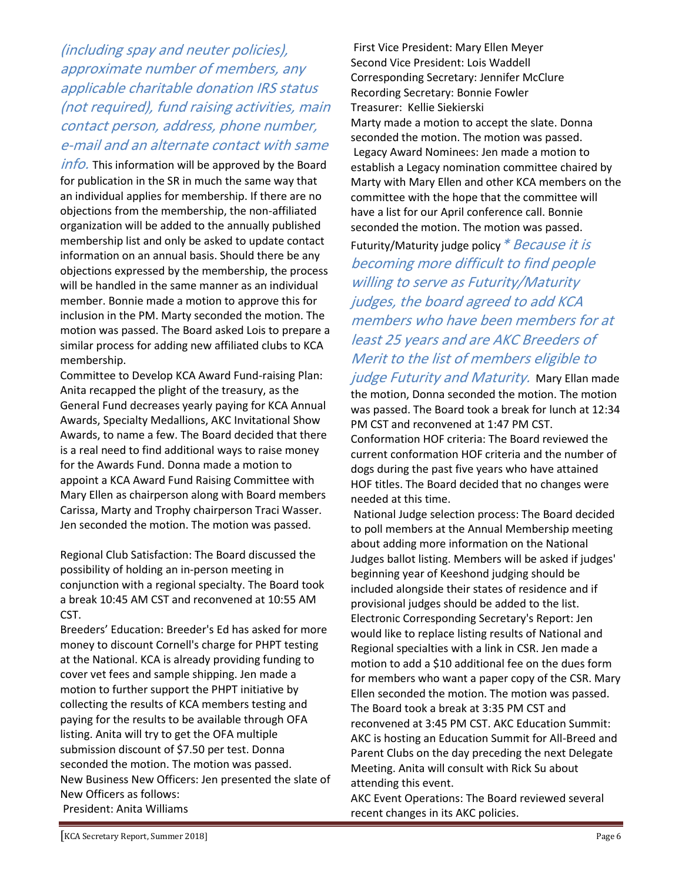(including spay and neuter policies), approximate number of members, any applicable charitable donation IRS status (not required), fund raising activities, main contact person, address, phone number, e-mail and an alternate contact with same

*info.* This information will be approved by the Board for publication in the SR in much the same way that an individual applies for membership. If there are no objections from the membership, the non-affiliated organization will be added to the annually published membership list and only be asked to update contact information on an annual basis. Should there be any objections expressed by the membership, the process will be handled in the same manner as an individual member. Bonnie made a motion to approve this for inclusion in the PM. Marty seconded the motion. The motion was passed. The Board asked Lois to prepare a similar process for adding new affiliated clubs to KCA membership.

Committee to Develop KCA Award Fund-raising Plan: Anita recapped the plight of the treasury, as the General Fund decreases yearly paying for KCA Annual Awards, Specialty Medallions, AKC Invitational Show Awards, to name a few. The Board decided that there is a real need to find additional ways to raise money for the Awards Fund. Donna made a motion to appoint a KCA Award Fund Raising Committee with Mary Ellen as chairperson along with Board members Carissa, Marty and Trophy chairperson Traci Wasser. Jen seconded the motion. The motion was passed.

Regional Club Satisfaction: The Board discussed the possibility of holding an in-person meeting in conjunction with a regional specialty. The Board took a break 10:45 AM CST and reconvened at 10:55 AM CST.

Breeders' Education: Breeder's Ed has asked for more money to discount Cornell's charge for PHPT testing at the National. KCA is already providing funding to cover vet fees and sample shipping. Jen made a motion to further support the PHPT initiative by collecting the results of KCA members testing and paying for the results to be available through OFA listing. Anita will try to get the OFA multiple submission discount of \$7.50 per test. Donna seconded the motion. The motion was passed. New Business New Officers: Jen presented the slate of New Officers as follows: President: Anita Williams

First Vice President: Mary Ellen Meyer Second Vice President: Lois Waddell Corresponding Secretary: Jennifer McClure Recording Secretary: Bonnie Fowler Treasurer: Kellie Siekierski Marty made a motion to accept the slate. Donna seconded the motion. The motion was passed. Legacy Award Nominees: Jen made a motion to establish a Legacy nomination committee chaired by Marty with Mary Ellen and other KCA members on the committee with the hope that the committee will have a list for our April conference call. Bonnie seconded the motion. The motion was passed.

Futurity/Maturity judge policy \* Because it is becoming more difficult to find people willing to serve as Futurity/Maturity judges, the board agreed to add KCA members who have been members for at least 25 years and are AKC Breeders of Merit to the list of members eligible to

judge Futurity and Maturity. Mary Ellan made the motion, Donna seconded the motion. The motion was passed. The Board took a break for lunch at 12:34 PM CST and reconvened at 1:47 PM CST. Conformation HOF criteria: The Board reviewed the current conformation HOF criteria and the number of dogs during the past five years who have attained HOF titles. The Board decided that no changes were

needed at this time.

National Judge selection process: The Board decided to poll members at the Annual Membership meeting about adding more information on the National Judges ballot listing. Members will be asked if judges' beginning year of Keeshond judging should be included alongside their states of residence and if provisional judges should be added to the list. Electronic Corresponding Secretary's Report: Jen would like to replace listing results of National and Regional specialties with a link in CSR. Jen made a motion to add a \$10 additional fee on the dues form for members who want a paper copy of the CSR. Mary Ellen seconded the motion. The motion was passed. The Board took a break at 3:35 PM CST and reconvened at 3:45 PM CST. AKC Education Summit: AKC is hosting an Education Summit for All-Breed and Parent Clubs on the day preceding the next Delegate Meeting. Anita will consult with Rick Su about attending this event.

AKC Event Operations: The Board reviewed several recent changes in its AKC policies.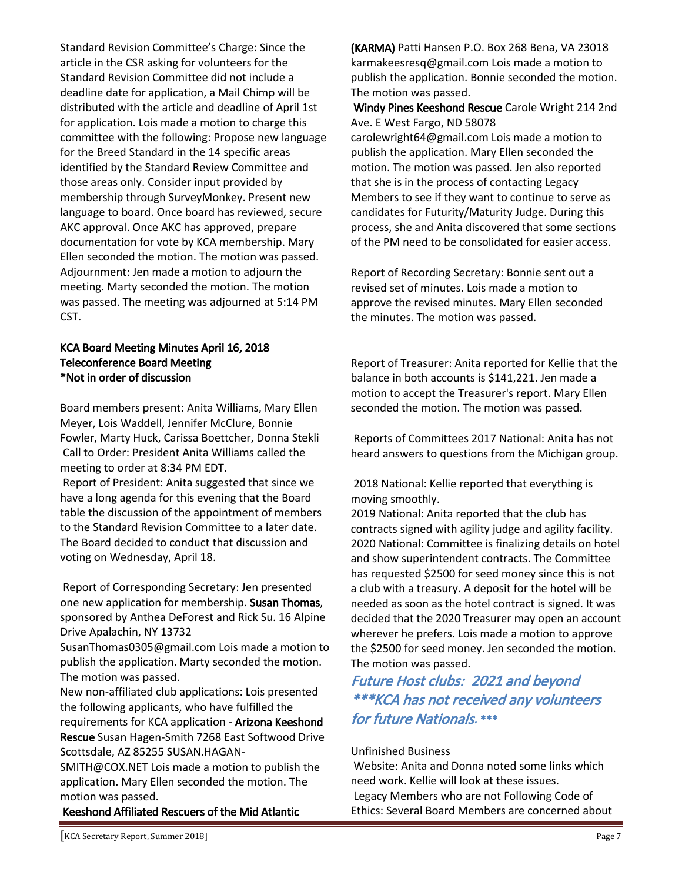Standard Revision Committee's Charge: Since the article in the CSR asking for volunteers for the Standard Revision Committee did not include a deadline date for application, a Mail Chimp will be distributed with the article and deadline of April 1st for application. Lois made a motion to charge this committee with the following: Propose new language for the Breed Standard in the 14 specific areas identified by the Standard Review Committee and those areas only. Consider input provided by membership through SurveyMonkey. Present new language to board. Once board has reviewed, secure AKC approval. Once AKC has approved, prepare documentation for vote by KCA membership. Mary Ellen seconded the motion. The motion was passed. Adjournment: Jen made a motion to adjourn the meeting. Marty seconded the motion. The motion was passed. The meeting was adjourned at 5:14 PM CST.

#### KCA Board Meeting Minutes April 16, 2018 Teleconference Board Meeting \*Not in order of discussion

Board members present: Anita Williams, Mary Ellen Meyer, Lois Waddell, Jennifer McClure, Bonnie Fowler, Marty Huck, Carissa Boettcher, Donna Stekli Call to Order: President Anita Williams called the meeting to order at 8:34 PM EDT.

Report of President: Anita suggested that since we have a long agenda for this evening that the Board table the discussion of the appointment of members to the Standard Revision Committee to a later date. The Board decided to conduct that discussion and voting on Wednesday, April 18.

Report of Corresponding Secretary: Jen presented one new application for membership. Susan Thomas, sponsored by Anthea DeForest and Rick Su. 16 Alpine Drive Apalachin, NY 13732

SusanThomas0305@gmail.com Lois made a motion to publish the application. Marty seconded the motion. The motion was passed.

New non-affiliated club applications: Lois presented the following applicants, who have fulfilled the requirements for KCA application - Arizona Keeshond

Rescue Susan Hagen-Smith 7268 East Softwood Drive Scottsdale, AZ 85255 SUSAN.HAGAN-

SMITH@COX.NET Lois made a motion to publish the application. Mary Ellen seconded the motion. The motion was passed.

Keeshond Affiliated Rescuers of the Mid Atlantic

(KARMA) Patti Hansen P.O. Box 268 Bena, VA 23018 karmakeesresq@gmail.com Lois made a motion to publish the application. Bonnie seconded the motion. The motion was passed.

Windy Pines Keeshond Rescue Carole Wright 214 2nd Ave. E West Fargo, ND 58078 carolewright64@gmail.com Lois made a motion to publish the application. Mary Ellen seconded the motion. The motion was passed. Jen also reported that she is in the process of contacting Legacy Members to see if they want to continue to serve as candidates for Futurity/Maturity Judge. During this process, she and Anita discovered that some sections of the PM need to be consolidated for easier access.

Report of Recording Secretary: Bonnie sent out a revised set of minutes. Lois made a motion to approve the revised minutes. Mary Ellen seconded the minutes. The motion was passed.

Report of Treasurer: Anita reported for Kellie that the balance in both accounts is \$141,221. Jen made a motion to accept the Treasurer's report. Mary Ellen seconded the motion. The motion was passed.

Reports of Committees 2017 National: Anita has not heard answers to questions from the Michigan group.

2018 National: Kellie reported that everything is moving smoothly.

2019 National: Anita reported that the club has contracts signed with agility judge and agility facility. 2020 National: Committee is finalizing details on hotel and show superintendent contracts. The Committee has requested \$2500 for seed money since this is not a club with a treasury. A deposit for the hotel will be needed as soon as the hotel contract is signed. It was decided that the 2020 Treasurer may open an account wherever he prefers. Lois made a motion to approve the \$2500 for seed money. Jen seconded the motion. The motion was passed.

Future Host clubs: 2021 and beyond \*\*\*KCA has not received any volunteers for future Nationals. \*\*\*

#### Unfinished Business

Website: Anita and Donna noted some links which need work. Kellie will look at these issues. Legacy Members who are not Following Code of Ethics: Several Board Members are concerned about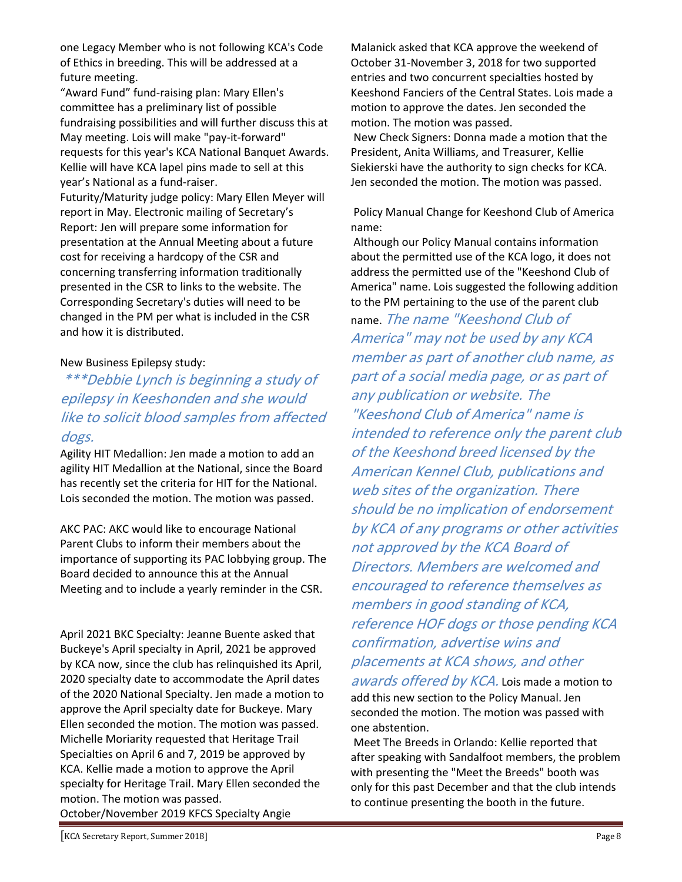one Legacy Member who is not following KCA's Code of Ethics in breeding. This will be addressed at a future meeting.

"Award Fund" fund-raising plan: Mary Ellen's committee has a preliminary list of possible fundraising possibilities and will further discuss this at May meeting. Lois will make "pay-it-forward" requests for this year's KCA National Banquet Awards. Kellie will have KCA lapel pins made to sell at this year's National as a fund-raiser.

Futurity/Maturity judge policy: Mary Ellen Meyer will report in May. Electronic mailing of Secretary's Report: Jen will prepare some information for presentation at the Annual Meeting about a future cost for receiving a hardcopy of the CSR and concerning transferring information traditionally presented in the CSR to links to the website. The Corresponding Secretary's duties will need to be changed in the PM per what is included in the CSR and how it is distributed.

#### New Business Epilepsy study:

## \*\*\*Debbie Lynch is beginning a study of epilepsy in Keeshonden and she would like to solicit blood samples from affected dogs.

Agility HIT Medallion: Jen made a motion to add an agility HIT Medallion at the National, since the Board has recently set the criteria for HIT for the National. Lois seconded the motion. The motion was passed.

AKC PAC: AKC would like to encourage National Parent Clubs to inform their members about the importance of supporting its PAC lobbying group. The Board decided to announce this at the Annual Meeting and to include a yearly reminder in the CSR.

April 2021 BKC Specialty: Jeanne Buente asked that Buckeye's April specialty in April, 2021 be approved by KCA now, since the club has relinquished its April, 2020 specialty date to accommodate the April dates of the 2020 National Specialty. Jen made a motion to approve the April specialty date for Buckeye. Mary Ellen seconded the motion. The motion was passed. Michelle Moriarity requested that Heritage Trail Specialties on April 6 and 7, 2019 be approved by KCA. Kellie made a motion to approve the April specialty for Heritage Trail. Mary Ellen seconded the motion. The motion was passed. October/November 2019 KFCS Specialty Angie

Malanick asked that KCA approve the weekend of October 31-November 3, 2018 for two supported entries and two concurrent specialties hosted by Keeshond Fanciers of the Central States. Lois made a motion to approve the dates. Jen seconded the motion. The motion was passed.

New Check Signers: Donna made a motion that the President, Anita Williams, and Treasurer, Kellie Siekierski have the authority to sign checks for KCA. Jen seconded the motion. The motion was passed.

Policy Manual Change for Keeshond Club of America name:

Although our Policy Manual contains information about the permitted use of the KCA logo, it does not address the permitted use of the "Keeshond Club of America" name. Lois suggested the following addition to the PM pertaining to the use of the parent club

name. The name "Keeshond Club of America" may not be used by any KCA member as part of another club name, as part of a social media page, or as part of any publication or website. The "Keeshond Club of America" name is intended to reference only the parent club of the Keeshond breed licensed by the American Kennel Club, publications and web sites of the organization. There should be no implication of endorsement by KCA of any programs or other activities not approved by the KCA Board of Directors. Members are welcomed and encouraged to reference themselves as members in good standing of KCA, reference HOF dogs or those pending KCA confirmation, advertise wins and placements at KCA shows, and other

awards offered by KCA. Lois made a motion to add this new section to the Policy Manual. Jen seconded the motion. The motion was passed with one abstention.

Meet The Breeds in Orlando: Kellie reported that after speaking with Sandalfoot members, the problem with presenting the "Meet the Breeds" booth was only for this past December and that the club intends to continue presenting the booth in the future.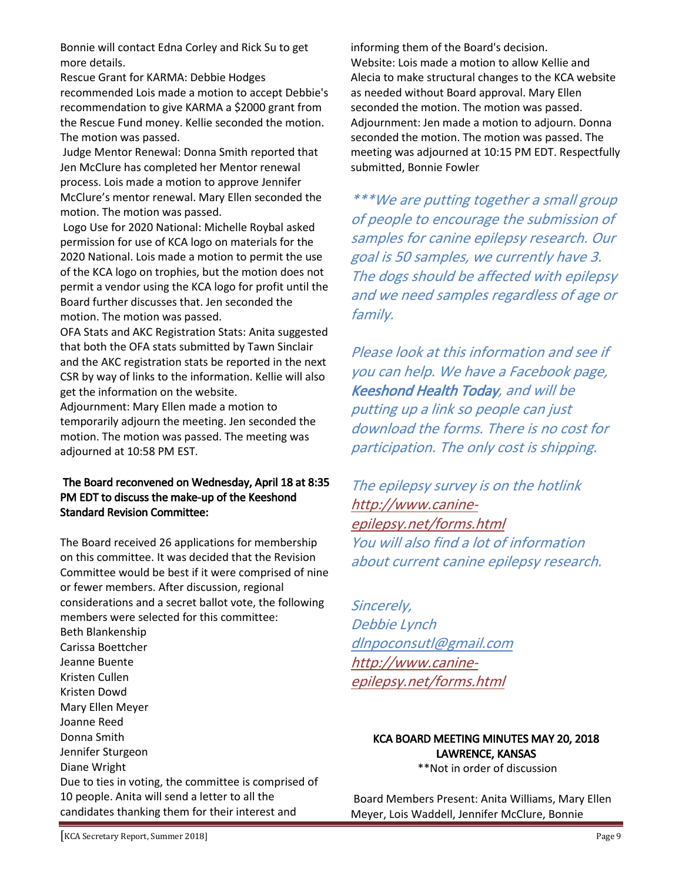Bonnie will contact Edna Corley and Rick Su to get more details.

Rescue Grant for KARMA: Debbie Hodges recommended Lois made a motion to accept Debbie's recommendation to give KARMA a \$2000 grant from the Rescue Fund money. Kellie seconded the motion. The motion was passed.

Judge Mentor Renewal: Donna Smith reported that Jen McClure has completed her Mentor renewal process. Lois made a motion to approve Jennifer McClure's mentor renewal. Mary Ellen seconded the motion. The motion was passed.

Logo Use for 2020 National: Michelle Roybal asked permission for use of KCA logo on materials for the 2020 National. Lois made a motion to permit the use of the KCA logo on trophies, but the motion does not permit a vendor using the KCA logo for profit until the Board further discusses that. Jen seconded the motion. The motion was passed.

OFA Stats and AKC Registration Stats: Anita suggested that both the OFA stats submitted by Tawn Sinclair and the AKC registration stats be reported in the next CSR by way of links to the information. Kellie will also get the information on the website.

Adjournment: Mary Ellen made a motion to temporarily adjourn the meeting. Jen seconded the motion. The motion was passed. The meeting was adjourned at 10:58 PM EST.

#### The Board reconvened on Wednesday, April 18 at 8:35 PM EDT to discuss the make-up of the Keeshond Standard Revision Committee:

The Board received 26 applications for membership on this committee. It was decided that the Revision Committee would be best if it were comprised of nine or fewer members. After discussion, regional considerations and a secret ballot vote, the following members were selected for this committee:

Beth Blankenship Carissa Boettcher Jeanne Buente Kristen Cullen Kristen Dowd Mary Ellen Meyer Joanne Reed Donna Smith Jennifer Sturgeon Diane Wright Due to ties in voting, the committee is comprised of 10 people. Anita will send a letter to all the candidates thanking them for their interest and

informing them of the Board's decision. Website: Lois made a motion to allow Kellie and Alecia to make structural changes to the KCA website as needed without Board approval. Mary Ellen seconded the motion. The motion was passed. Adjournment: Jen made a motion to adjourn. Donna seconded the motion. The motion was passed. The meeting was adjourned at 10:15 PM EDT. Respectfully submitted, Bonnie Fowler

\*\*\*We are putting together a small group of people to encourage the submission of samples for canine epilepsy research. Our goal is 50 samples, we currently have 3. The dogs should be affected with epilepsy and we need samples regardless of age or family.

Please look at this information and see if you can help. We have a Facebook page, Keeshond Health Today, and will be putting up a link so people can just download the forms. There is no cost for participation. The only cost is shipping.

The epilepsy survey is on the hotlink http://www.canineepilepsy.net/forms.html You will also find a lot of information about current canine epilepsy research.

Sincerely, Debbie Lynch dlnpoconsutl@gmail.com http://www.canineepilepsy.net/forms.html

#### KCA BOARD MEETING MINUTES MAY 20, 2018 LAWRENCE, KANSAS

\*\*Not in order of discussion

Board Members Present: Anita Williams, Mary Ellen Meyer, Lois Waddell, Jennifer McClure, Bonnie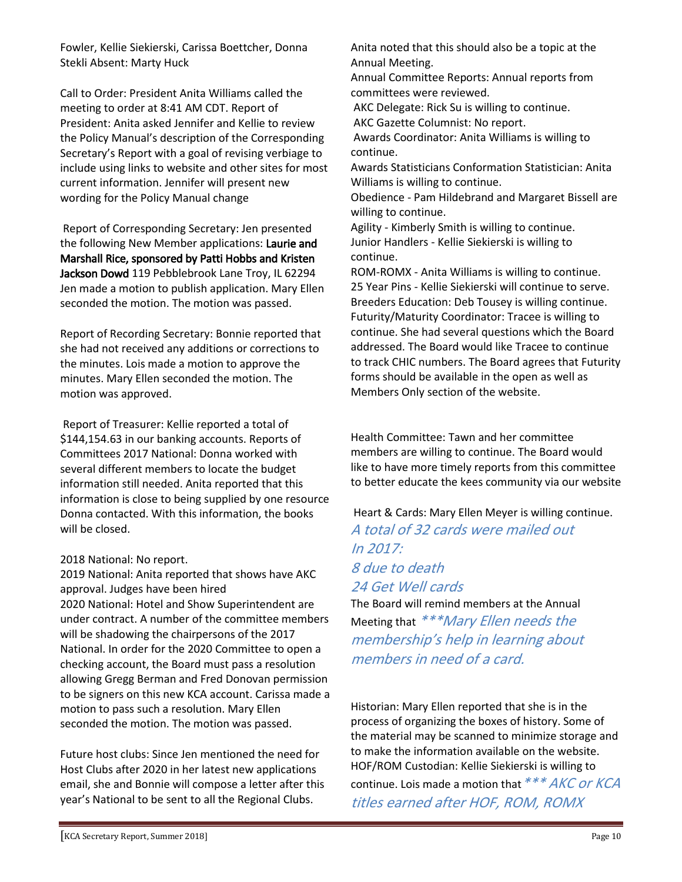Fowler, Kellie Siekierski, Carissa Boettcher, Donna Stekli Absent: Marty Huck

Call to Order: President Anita Williams called the meeting to order at 8:41 AM CDT. Report of President: Anita asked Jennifer and Kellie to review the Policy Manual's description of the Corresponding Secretary's Report with a goal of revising verbiage to include using links to website and other sites for most current information. Jennifer will present new wording for the Policy Manual change

Report of Corresponding Secretary: Jen presented the following New Member applications: Laurie and Marshall Rice, sponsored by Patti Hobbs and Kristen Jackson Dowd 119 Pebblebrook Lane Troy, IL 62294 Jen made a motion to publish application. Mary Ellen seconded the motion. The motion was passed.

Report of Recording Secretary: Bonnie reported that she had not received any additions or corrections to the minutes. Lois made a motion to approve the minutes. Mary Ellen seconded the motion. The motion was approved.

Report of Treasurer: Kellie reported a total of \$144,154.63 in our banking accounts. Reports of Committees 2017 National: Donna worked with several different members to locate the budget information still needed. Anita reported that this information is close to being supplied by one resource Donna contacted. With this information, the books will be closed.

#### 2018 National: No report.

2019 National: Anita reported that shows have AKC approval. Judges have been hired 2020 National: Hotel and Show Superintendent are under contract. A number of the committee members will be shadowing the chairpersons of the 2017 National. In order for the 2020 Committee to open a checking account, the Board must pass a resolution allowing Gregg Berman and Fred Donovan permission to be signers on this new KCA account. Carissa made a motion to pass such a resolution. Mary Ellen seconded the motion. The motion was passed.

Future host clubs: Since Jen mentioned the need for Host Clubs after 2020 in her latest new applications email, she and Bonnie will compose a letter after this year's National to be sent to all the Regional Clubs.

Anita noted that this should also be a topic at the Annual Meeting.

Annual Committee Reports: Annual reports from committees were reviewed.

AKC Delegate: Rick Su is willing to continue.

AKC Gazette Columnist: No report.

Awards Coordinator: Anita Williams is willing to continue.

Awards Statisticians Conformation Statistician: Anita Williams is willing to continue.

Obedience - Pam Hildebrand and Margaret Bissell are willing to continue.

Agility - Kimberly Smith is willing to continue. Junior Handlers - Kellie Siekierski is willing to continue.

ROM-ROMX - Anita Williams is willing to continue. 25 Year Pins - Kellie Siekierski will continue to serve. Breeders Education: Deb Tousey is willing continue. Futurity/Maturity Coordinator: Tracee is willing to continue. She had several questions which the Board addressed. The Board would like Tracee to continue to track CHIC numbers. The Board agrees that Futurity forms should be available in the open as well as Members Only section of the website.

Health Committee: Tawn and her committee members are willing to continue. The Board would like to have more timely reports from this committee to better educate the kees community via our website

Heart & Cards: Mary Ellen Meyer is willing continue. A total of 32 cards were mailed out In 2017: 8 due to death

#### 24 Get Well cards

The Board will remind members at the Annual Meeting that \*\*\*Mary Ellen needs the membership's help in learning about members in need of a card.

Historian: Mary Ellen reported that she is in the process of organizing the boxes of history. Some of the material may be scanned to minimize storage and to make the information available on the website. HOF/ROM Custodian: Kellie Siekierski is willing to continue. Lois made a motion that  $***$  AKC or KCA titles earned after HOF, ROM, ROMX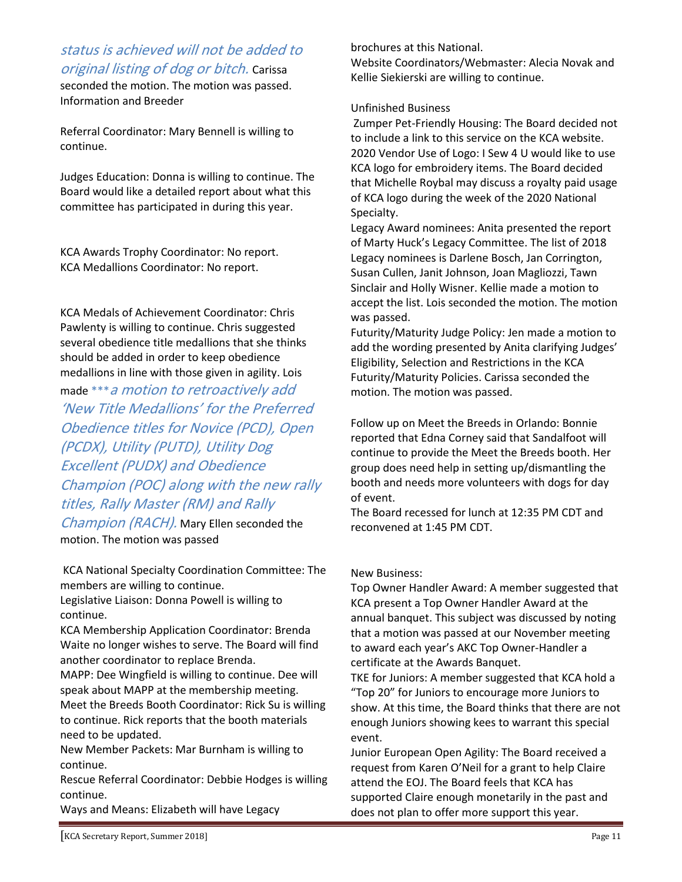### status is achieved will not be added to original listing of dog or bitch. Carissa

seconded the motion. The motion was passed. Information and Breeder

Referral Coordinator: Mary Bennell is willing to continue.

Judges Education: Donna is willing to continue. The Board would like a detailed report about what this committee has participated in during this year.

KCA Awards Trophy Coordinator: No report. KCA Medallions Coordinator: No report.

KCA Medals of Achievement Coordinator: Chris Pawlenty is willing to continue. Chris suggested several obedience title medallions that she thinks should be added in order to keep obedience medallions in line with those given in agility. Lois

made \*\*\*a motion to retroactively add 'New Title Medallions' for the Preferred Obedience titles for Novice (PCD), Open (PCDX), Utility (PUTD), Utility Dog Excellent (PUDX) and Obedience Champion (POC) along with the new rally titles, Rally Master (RM) and Rally

Champion (RACH). Mary Ellen seconded the motion. The motion was passed

KCA National Specialty Coordination Committee: The members are willing to continue. Legislative Liaison: Donna Powell is willing to continue.

KCA Membership Application Coordinator: Brenda Waite no longer wishes to serve. The Board will find another coordinator to replace Brenda.

MAPP: Dee Wingfield is willing to continue. Dee will speak about MAPP at the membership meeting. Meet the Breeds Booth Coordinator: Rick Su is willing to continue. Rick reports that the booth materials need to be updated.

New Member Packets: Mar Burnham is willing to continue.

Rescue Referral Coordinator: Debbie Hodges is willing continue.

Ways and Means: Elizabeth will have Legacy

brochures at this National.

Website Coordinators/Webmaster: Alecia Novak and Kellie Siekierski are willing to continue.

#### Unfinished Business

Zumper Pet-Friendly Housing: The Board decided not to include a link to this service on the KCA website. 2020 Vendor Use of Logo: I Sew 4 U would like to use KCA logo for embroidery items. The Board decided that Michelle Roybal may discuss a royalty paid usage of KCA logo during the week of the 2020 National Specialty.

Legacy Award nominees: Anita presented the report of Marty Huck's Legacy Committee. The list of 2018 Legacy nominees is Darlene Bosch, Jan Corrington, Susan Cullen, Janit Johnson, Joan Magliozzi, Tawn Sinclair and Holly Wisner. Kellie made a motion to accept the list. Lois seconded the motion. The motion was passed.

Futurity/Maturity Judge Policy: Jen made a motion to add the wording presented by Anita clarifying Judges' Eligibility, Selection and Restrictions in the KCA Futurity/Maturity Policies. Carissa seconded the motion. The motion was passed.

Follow up on Meet the Breeds in Orlando: Bonnie reported that Edna Corney said that Sandalfoot will continue to provide the Meet the Breeds booth. Her group does need help in setting up/dismantling the booth and needs more volunteers with dogs for day of event.

The Board recessed for lunch at 12:35 PM CDT and reconvened at 1:45 PM CDT.

#### New Business:

Top Owner Handler Award: A member suggested that KCA present a Top Owner Handler Award at the annual banquet. This subject was discussed by noting that a motion was passed at our November meeting to award each year's AKC Top Owner-Handler a certificate at the Awards Banquet.

TKE for Juniors: A member suggested that KCA hold a "Top 20" for Juniors to encourage more Juniors to show. At this time, the Board thinks that there are not enough Juniors showing kees to warrant this special event.

Junior European Open Agility: The Board received a request from Karen O'Neil for a grant to help Claire attend the EOJ. The Board feels that KCA has supported Claire enough monetarily in the past and does not plan to offer more support this year.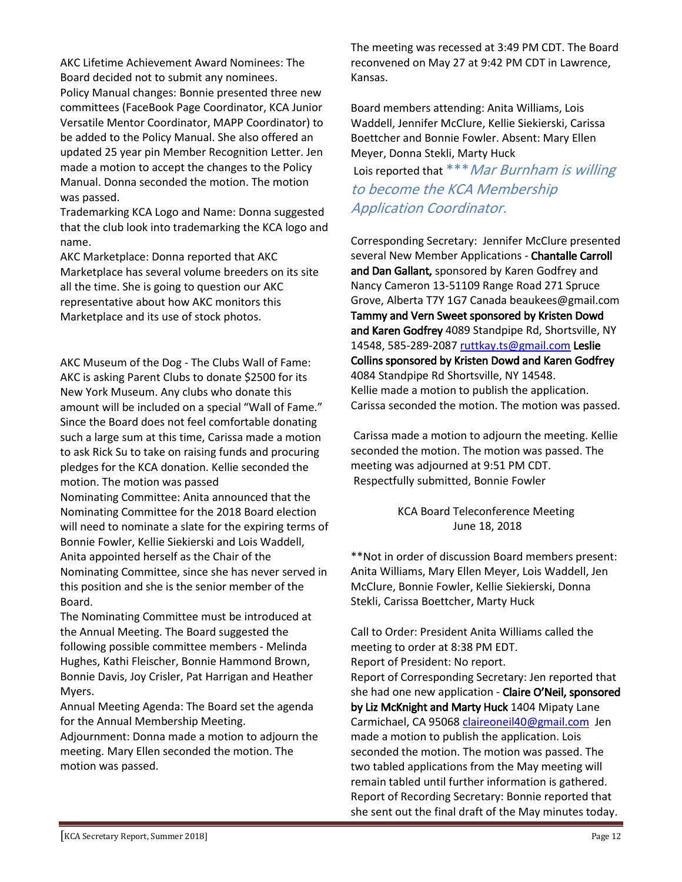AKC Lifetime Achievement Award Nominees: The Board decided not to submit any nominees. Policy Manual changes: Bonnie presented three new committees (FaceBook Page Coordinator, KCA Junior Versatile Mentor Coordinator, MAPP Coordinator) to be added to the Policy Manual. She also offered an updated 25 year pin Member Recognition Letter. Jen made a motion to accept the changes to the Policy Manual. Donna seconded the motion. The motion was passed.

Trademarking KCA Logo and Name: Donna suggested that the club look into trademarking the KCA logo and name.

AKC Marketplace: Donna reported that AKC Marketplace has several volume breeders on its site all the time. She is going to question our AKC representative about how AKC monitors this Marketplace and its use of stock photos.

AKC Museum of the Dog - The Clubs Wall of Fame: AKC is asking Parent Clubs to donate \$2500 for its New York Museum. Any clubs who donate this amount will be included on a special "Wall of Fame." Since the Board does not feel comfortable donating such a large sum at this time, Carissa made a motion to ask Rick Su to take on raising funds and procuring pledges for the KCA donation. Kellie seconded the motion. The motion was passed Nominating Committee: Anita announced that the

Nominating Committee for the 2018 Board election will need to nominate a slate for the expiring terms of Bonnie Fowler, Kellie Siekierski and Lois Waddell, Anita appointed herself as the Chair of the Nominating Committee, since she has never served in this position and she is the senior member of the Board.

The Nominating Committee must be introduced at the Annual Meeting. The Board suggested the following possible committee members - Melinda Hughes, Kathi Fleischer, Bonnie Hammond Brown, Bonnie Davis, Joy Crisler, Pat Harrigan and Heather Myers.

Annual Meeting Agenda: The Board set the agenda for the Annual Membership Meeting.

Adjournment: Donna made a motion to adjourn the meeting. Mary Ellen seconded the motion. The motion was passed.

The meeting was recessed at 3:49 PM CDT. The Board reconvened on May 27 at 9:42 PM CDT in Lawrence, Kansas.

Board members attending: Anita Williams, Lois Waddell, Jennifer McClure, Kellie Siekierski, Carissa Boettcher and Bonnie Fowler. Absent: Mary Ellen Meyer, Donna Stekli, Marty Huck

Lois reported that \*\*\* Mar Burnham is willing to become the KCA Membership Application Coordinator.

Corresponding Secretary: Jennifer McClure presented several New Member Applications - Chantalle Carroll and Dan Gallant, sponsored by Karen Godfrey and Nancy Cameron 13-51109 Range Road 271 Spruce Grove, Alberta T7Y 1G7 Canada beaukees@gmail.com Tammy and Vern Sweet sponsored by Kristen Dowd and Karen Godfrey 4089 Standpipe Rd, Shortsville, NY 14548, 585-289-2087 ruttkay.ts@gmail.com Leslie Collins sponsored by Kristen Dowd and Karen Godfrey 4084 Standpipe Rd Shortsville, NY 14548. Kellie made a motion to publish the application. Carissa seconded the motion. The motion was passed.

Carissa made a motion to adjourn the meeting. Kellie seconded the motion. The motion was passed. The meeting was adjourned at 9:51 PM CDT. Respectfully submitted, Bonnie Fowler

> KCA Board Teleconference Meeting June 18, 2018

\*\*Not in order of discussion Board members present: Anita Williams, Mary Ellen Meyer, Lois Waddell, Jen McClure, Bonnie Fowler, Kellie Siekierski, Donna Stekli, Carissa Boettcher, Marty Huck

Call to Order: President Anita Williams called the meeting to order at 8:38 PM EDT. Report of President: No report.

Report of Corresponding Secretary: Jen reported that she had one new application - Claire O'Neil, sponsored by Liz McKnight and Marty Huck 1404 Mipaty Lane Carmichael, CA 95068 claireoneil40@gmail.com Jen made a motion to publish the application. Lois seconded the motion. The motion was passed. The two tabled applications from the May meeting will remain tabled until further information is gathered. Report of Recording Secretary: Bonnie reported that she sent out the final draft of the May minutes today.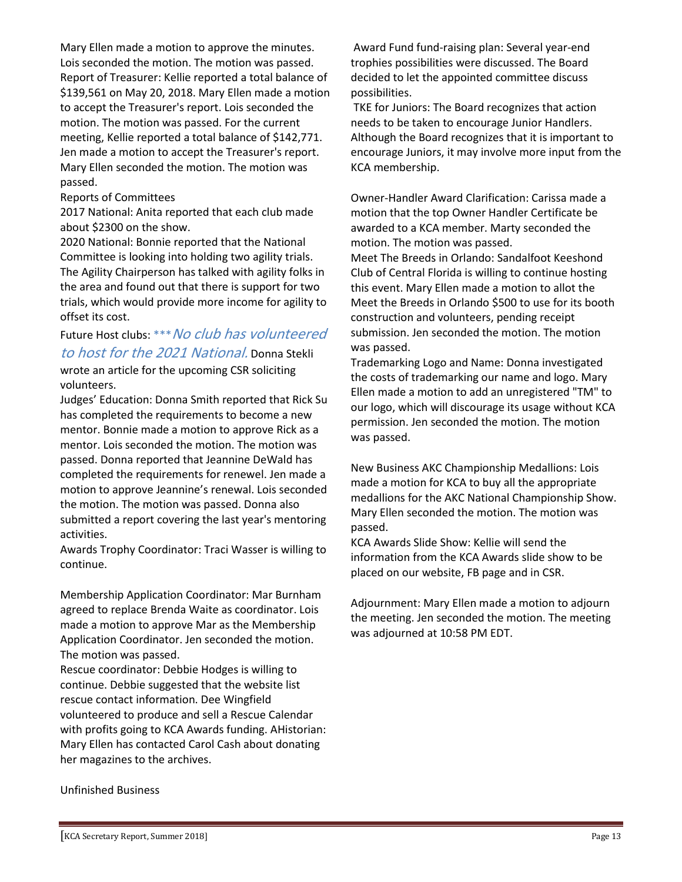Mary Ellen made a motion to approve the minutes. Lois seconded the motion. The motion was passed. Report of Treasurer: Kellie reported a total balance of \$139,561 on May 20, 2018. Mary Ellen made a motion to accept the Treasurer's report. Lois seconded the motion. The motion was passed. For the current meeting, Kellie reported a total balance of \$142,771. Jen made a motion to accept the Treasurer's report. Mary Ellen seconded the motion. The motion was passed.

#### Reports of Committees

2017 National: Anita reported that each club made about \$2300 on the show.

2020 National: Bonnie reported that the National Committee is looking into holding two agility trials. The Agility Chairperson has talked with agility folks in the area and found out that there is support for two trials, which would provide more income for agility to offset its cost.

## Future Host clubs: \*\*\* No club has volunteered to host for the 2021 National. Donna Stekli

wrote an article for the upcoming CSR soliciting volunteers.

Judges' Education: Donna Smith reported that Rick Su has completed the requirements to become a new mentor. Bonnie made a motion to approve Rick as a mentor. Lois seconded the motion. The motion was passed. Donna reported that Jeannine DeWald has completed the requirements for renewel. Jen made a motion to approve Jeannine's renewal. Lois seconded the motion. The motion was passed. Donna also submitted a report covering the last year's mentoring activities.

Awards Trophy Coordinator: Traci Wasser is willing to continue.

Membership Application Coordinator: Mar Burnham agreed to replace Brenda Waite as coordinator. Lois made a motion to approve Mar as the Membership Application Coordinator. Jen seconded the motion. The motion was passed.

Rescue coordinator: Debbie Hodges is willing to continue. Debbie suggested that the website list rescue contact information. Dee Wingfield volunteered to produce and sell a Rescue Calendar with profits going to KCA Awards funding. AHistorian: Mary Ellen has contacted Carol Cash about donating her magazines to the archives.

Award Fund fund-raising plan: Several year-end trophies possibilities were discussed. The Board decided to let the appointed committee discuss possibilities.

TKE for Juniors: The Board recognizes that action needs to be taken to encourage Junior Handlers. Although the Board recognizes that it is important to encourage Juniors, it may involve more input from the KCA membership.

Owner-Handler Award Clarification: Carissa made a motion that the top Owner Handler Certificate be awarded to a KCA member. Marty seconded the motion. The motion was passed. Meet The Breeds in Orlando: Sandalfoot Keeshond Club of Central Florida is willing to continue hosting this event. Mary Ellen made a motion to allot the Meet the Breeds in Orlando \$500 to use for its booth construction and volunteers, pending receipt submission. Jen seconded the motion. The motion was passed.

Trademarking Logo and Name: Donna investigated the costs of trademarking our name and logo. Mary Ellen made a motion to add an unregistered "TM" to our logo, which will discourage its usage without KCA permission. Jen seconded the motion. The motion was passed.

New Business AKC Championship Medallions: Lois made a motion for KCA to buy all the appropriate medallions for the AKC National Championship Show. Mary Ellen seconded the motion. The motion was passed.

KCA Awards Slide Show: Kellie will send the information from the KCA Awards slide show to be placed on our website, FB page and in CSR.

Adjournment: Mary Ellen made a motion to adjourn the meeting. Jen seconded the motion. The meeting was adjourned at 10:58 PM EDT.

Unfinished Business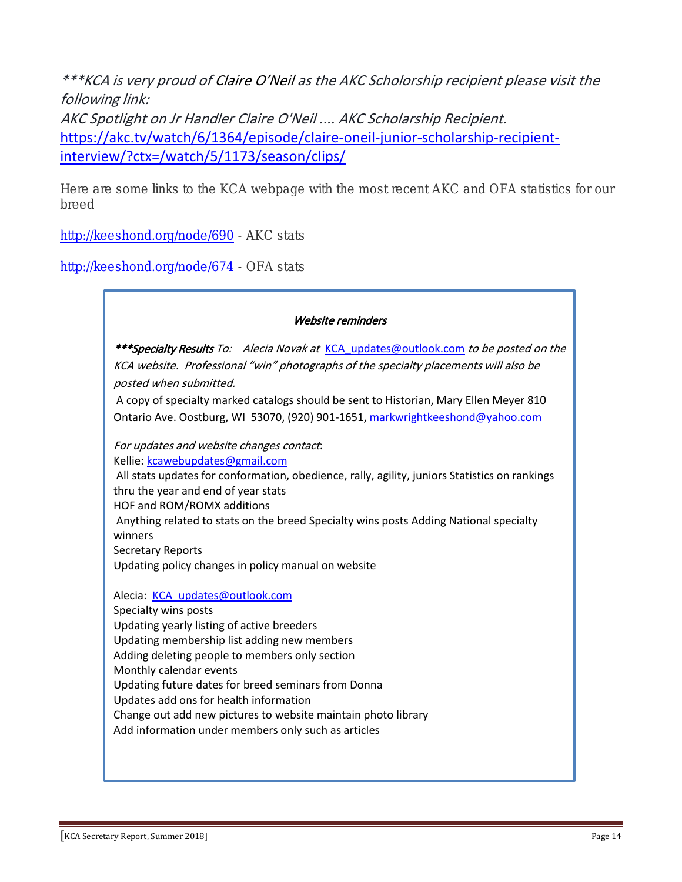\*\*\*KCA is very proud of Claire O'Neil as the AKC Scholorship recipient please visit the following link: AKC Spotlight on Jr Handler Claire O'Neil .... AKC Scholarship Recipient. https://akc.tv/watch/6/1364/episode/claire-oneil-junior-scholarship-recipientinterview/?ctx=/watch/5/1173/season/clips/

Here are some links to the KCA webpage with the most recent AKC and OFA statistics for our breed

http://keeshond.org/node/690 - AKC stats

http://keeshond.org/node/674 - OFA stats

#### Website reminders

\*\*\*Specialty Results To: Alecia Novak at KCA\_updates@outlook.com to be posted on the KCA website. Professional "win" photographs of the specialty placements will also be posted when submitted.

A copy of specialty marked catalogs should be sent to Historian, Mary Ellen Meyer 810 Ontario Ave. Oostburg, WI 53070, (920) 901-1651, markwrightkeeshond@yahoo.com

## For updates and website changes contact:

Kellie: kcawebupdates@gmail.com

All stats updates for conformation, obedience, rally, agility, juniors Statistics on rankings thru the year and end of year stats HOF and ROM/ROMX additions

Anything related to stats on the breed Specialty wins posts Adding National specialty winners

Secretary Reports

Updating policy changes in policy manual on website

Alecia: KCA updates@outlook.com

Specialty wins posts Updating yearly listing of active breeders Updating membership list adding new members Adding deleting people to members only section Monthly calendar events Updating future dates for breed seminars from Donna Updates add ons for health information Change out add new pictures to website maintain photo library Add information under members only such as articles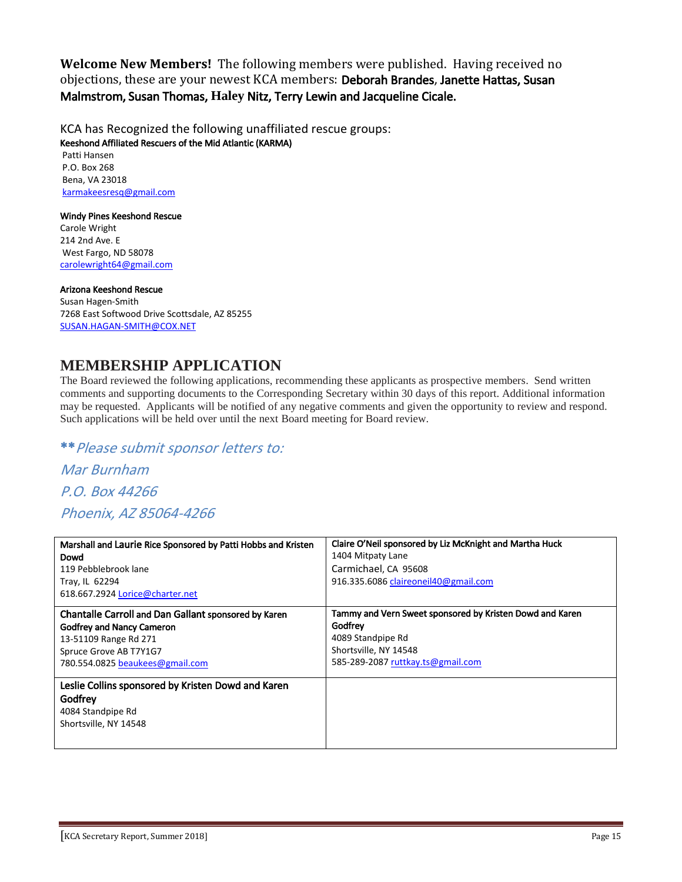**Welcome New Members!** The following members were published. Having received no objections, these are your newest KCA members: Deborah Brandes, Janette Hattas, Susan Malmstrom, Susan Thomas, **Haley** Nitz, Terry Lewin and Jacqueline Cicale.

KCA has Recognized the following unaffiliated rescue groups: Keeshond Affiliated Rescuers of the Mid Atlantic (KARMA) Patti Hansen

P.O. Box 268 Bena, VA 23018 karmakeesresq@gmail.com

#### Windy Pines Keeshond Rescue

Carole Wright 214 2nd Ave. E West Fargo, ND 58078 carolewright64@gmail.com

#### Arizona Keeshond Rescue

Susan Hagen-Smith 7268 East Softwood Drive Scottsdale, AZ 85255 SUSAN.HAGAN-SMITH@COX.NET

## **MEMBERSHIP APPLICATION**

The Board reviewed the following applications, recommending these applicants as prospective members. Send written comments and supporting documents to the Corresponding Secretary within 30 days of this report. Additional information may be requested. Applicants will be notified of any negative comments and given the opportunity to review and respond. Such applications will be held over until the next Board meeting for Board review.

\*\*Please submit sponsor letters to:

Mar Burnham P.O. Box 44266 Phoenix, AZ 85064-4266

| Marshall and Laurie Rice Sponsored by Patti Hobbs and Kristen                                               | Claire O'Neil sponsored by Liz McKnight and Martha Huck  |
|-------------------------------------------------------------------------------------------------------------|----------------------------------------------------------|
| Dowd                                                                                                        | 1404 Mitpaty Lane                                        |
| 119 Pebblebrook lane                                                                                        | Carmichael, CA 95608                                     |
| Tray, IL 62294                                                                                              | 916.335.6086 claireoneil40@gmail.com                     |
| 618.667.2924 Lorice@charter.net                                                                             |                                                          |
| <b>Chantalle Carroll and Dan Gallant sponsored by Karen</b>                                                 | Tammy and Vern Sweet sponsored by Kristen Dowd and Karen |
| <b>Godfrey and Nancy Cameron</b>                                                                            | Godfrey                                                  |
| 13-51109 Range Rd 271                                                                                       | 4089 Standpipe Rd                                        |
| Spruce Grove AB T7Y1G7                                                                                      | Shortsville, NY 14548                                    |
| 780.554.0825 beaukees@gmail.com                                                                             | 585-289-2087 ruttkay.ts@gmail.com                        |
| Leslie Collins sponsored by Kristen Dowd and Karen<br>Godfrey<br>4084 Standpipe Rd<br>Shortsville, NY 14548 |                                                          |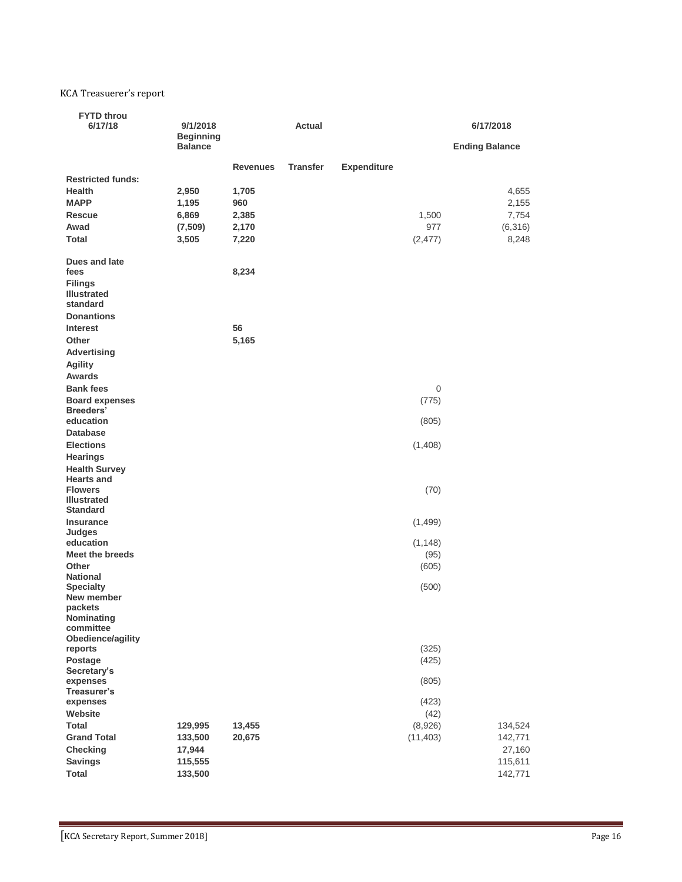#### KCA Treasuerer's report

| <b>FYTD throu</b><br>6/17/18                                                     | 9/1/2018<br><b>Beginning</b> |                          | <b>Actual</b>   |                    |           | 6/17/2018             |
|----------------------------------------------------------------------------------|------------------------------|--------------------------|-----------------|--------------------|-----------|-----------------------|
|                                                                                  | <b>Balance</b>               |                          |                 |                    |           | <b>Ending Balance</b> |
| <b>Restricted funds:</b><br><b>Health</b>                                        | 2,950                        | <b>Revenues</b><br>1,705 | <b>Transfer</b> | <b>Expenditure</b> |           | 4,655                 |
| <b>MAPP</b>                                                                      | 1,195                        | 960                      |                 |                    |           | 2,155                 |
| <b>Rescue</b>                                                                    | 6,869                        | 2,385                    |                 |                    | 1,500     | 7,754                 |
| Awad                                                                             | (7,509)                      | 2,170                    |                 |                    | 977       | (6,316)               |
| <b>Total</b>                                                                     | 3,505                        | 7,220                    |                 |                    | (2, 477)  | 8,248                 |
| <b>Dues and late</b><br>fees<br><b>Filings</b><br><b>Illustrated</b><br>standard |                              | 8,234                    |                 |                    |           |                       |
| <b>Donantions</b>                                                                |                              |                          |                 |                    |           |                       |
| <b>Interest</b>                                                                  |                              | 56                       |                 |                    |           |                       |
| Other                                                                            |                              | 5,165                    |                 |                    |           |                       |
| <b>Advertising</b><br><b>Agility</b><br>Awards                                   |                              |                          |                 |                    |           |                       |
| <b>Bank fees</b>                                                                 |                              |                          |                 |                    | 0         |                       |
| <b>Board expenses</b>                                                            |                              |                          |                 |                    | (775)     |                       |
| <b>Breeders'</b>                                                                 |                              |                          |                 |                    |           |                       |
| education                                                                        |                              |                          |                 |                    | (805)     |                       |
| <b>Database</b><br><b>Elections</b>                                              |                              |                          |                 |                    |           |                       |
| <b>Hearings</b>                                                                  |                              |                          |                 |                    | (1,408)   |                       |
| <b>Health Survey</b>                                                             |                              |                          |                 |                    |           |                       |
| <b>Hearts and</b>                                                                |                              |                          |                 |                    |           |                       |
| <b>Flowers</b><br><b>Illustrated</b>                                             |                              |                          |                 |                    | (70)      |                       |
| <b>Standard</b><br><b>Insurance</b>                                              |                              |                          |                 |                    | (1,499)   |                       |
| Judges                                                                           |                              |                          |                 |                    |           |                       |
| education                                                                        |                              |                          |                 |                    | (1, 148)  |                       |
| <b>Meet the breeds</b>                                                           |                              |                          |                 |                    | (95)      |                       |
| Other                                                                            |                              |                          |                 |                    | (605)     |                       |
| <b>National</b><br><b>Specialty</b><br>New member                                |                              |                          |                 |                    | (500)     |                       |
| packets<br>Nominating                                                            |                              |                          |                 |                    |           |                       |
| committee<br>Obedience/agility                                                   |                              |                          |                 |                    |           |                       |
| reports                                                                          |                              |                          |                 |                    | (325)     |                       |
| Postage                                                                          |                              |                          |                 |                    | (425)     |                       |
| Secretary's                                                                      |                              |                          |                 |                    |           |                       |
| expenses<br>Treasurer's                                                          |                              |                          |                 |                    | (805)     |                       |
| expenses                                                                         |                              |                          |                 |                    | (423)     |                       |
| Website                                                                          |                              |                          |                 |                    | (42)      |                       |
| <b>Total</b>                                                                     | 129,995                      | 13,455                   |                 |                    | (8,926)   | 134,524               |
| <b>Grand Total</b>                                                               | 133,500                      | 20,675                   |                 |                    | (11, 403) | 142,771               |
| <b>Checking</b>                                                                  | 17,944                       |                          |                 |                    |           | 27,160                |
| <b>Savings</b><br><b>Total</b>                                                   | 115,555<br>133,500           |                          |                 |                    |           | 115,611<br>142,771    |
|                                                                                  |                              |                          |                 |                    |           |                       |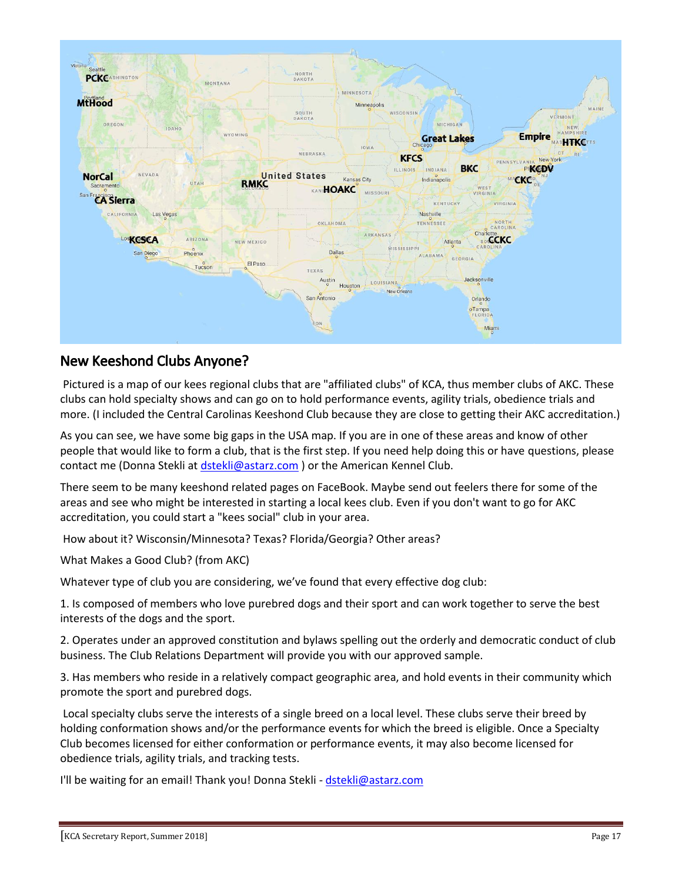

## New Keeshond Clubs Anyone?

Pictured is a map of our kees regional clubs that are "affiliated clubs" of KCA, thus member clubs of AKC. These clubs can hold specialty shows and can go on to hold performance events, agility trials, obedience trials and more. (I included the Central Carolinas Keeshond Club because they are close to getting their AKC accreditation.)

As you can see, we have some big gaps in the USA map. If you are in one of these areas and know of other people that would like to form a club, that is the first step. If you need help doing this or have questions, please contact me (Donna Stekli at dstekli@astarz.com ) or the American Kennel Club.

There seem to be many keeshond related pages on FaceBook. Maybe send out feelers there for some of the areas and see who might be interested in starting a local kees club. Even if you don't want to go for AKC accreditation, you could start a "kees social" club in your area.

How about it? Wisconsin/Minnesota? Texas? Florida/Georgia? Other areas?

What Makes a Good Club? (from AKC)

Whatever type of club you are considering, we've found that every effective dog club:

1. Is composed of members who love purebred dogs and their sport and can work together to serve the best interests of the dogs and the sport.

2. Operates under an approved constitution and bylaws spelling out the orderly and democratic conduct of club business. The Club Relations Department will provide you with our approved sample.

3. Has members who reside in a relatively compact geographic area, and hold events in their community which promote the sport and purebred dogs.

Local specialty clubs serve the interests of a single breed on a local level. These clubs serve their breed by holding conformation shows and/or the performance events for which the breed is eligible. Once a Specialty Club becomes licensed for either conformation or performance events, it may also become licensed for obedience trials, agility trials, and tracking tests.

I'll be waiting for an email! Thank you! Donna Stekli - dstekli@astarz.com